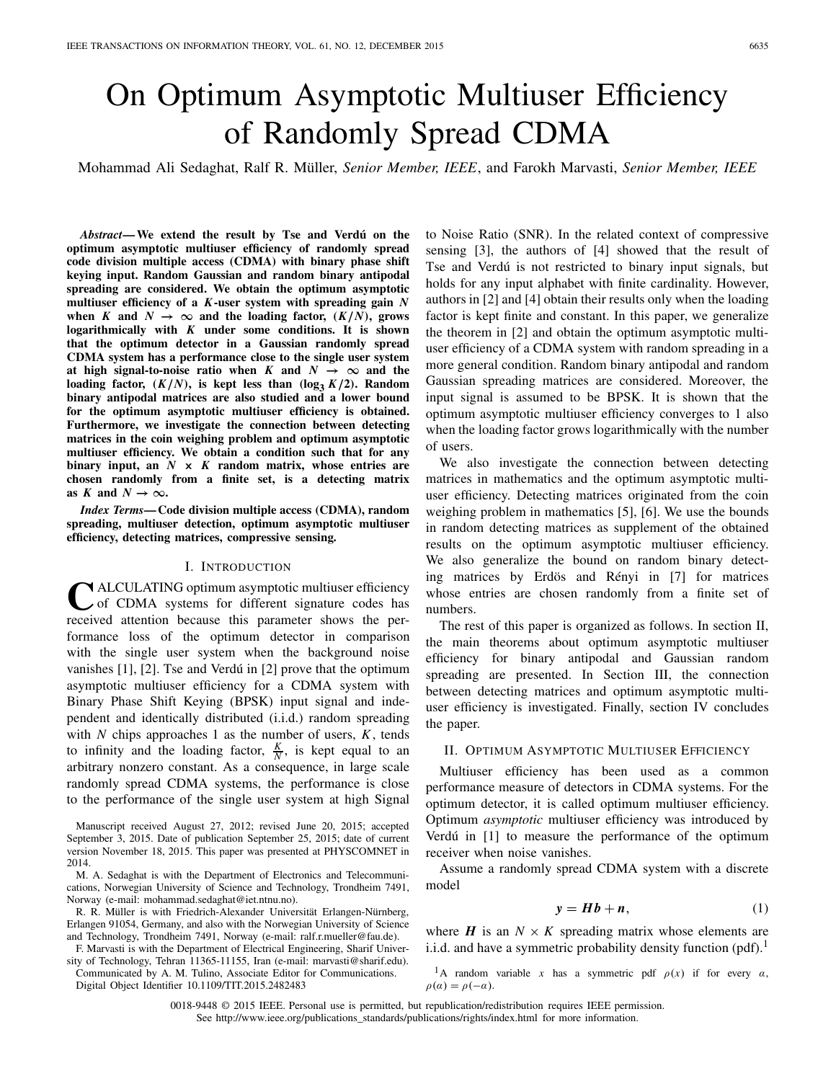# On Optimum Asymptotic Multiuser Efficiency of Randomly Spread CDMA

Mohammad Ali Sedaghat, Ralf R. Müller, *Senior Member, IEEE*, and Farokh Marvasti, *Senior Member, IEEE*

*Abstract***— We extend the result by Tse and Verdú on the optimum asymptotic multiuser efficiency of randomly spread code division multiple access (CDMA) with binary phase shift keying input. Random Gaussian and random binary antipodal spreading are considered. We obtain the optimum asymptotic multiuser efficiency of a** *K***-user system with spreading gain** *N* when *K* and  $N \to \infty$  and the loading factor,  $(K/N)$ , grows **logarithmically with** *K* **under some conditions. It is shown that the optimum detector in a Gaussian randomly spread CDMA system has a performance close to the single user system at high signal-to-noise ratio when**  $K$  and  $N \rightarrow \infty$  and the loading factor,  $(K/N)$ , is kept less than  $(\log_3 K/2)$ . Random **binary antipodal matrices are also studied and a lower bound for the optimum asymptotic multiuser efficiency is obtained. Furthermore, we investigate the connection between detecting matrices in the coin weighing problem and optimum asymptotic multiuser efficiency. We obtain a condition such that for any binary input, an** *N* **×** *K* **random matrix, whose entries are chosen randomly from a finite set, is a detecting matrix** as *K* and  $N \rightarrow \infty$ .

*Index Terms***— Code division multiple access (CDMA), random spreading, multiuser detection, optimum asymptotic multiuser efficiency, detecting matrices, compressive sensing.**

# I. INTRODUCTION

**CALCULATING optimum asymptotic multiuser efficiency** of CDMA systems for different signature codes has received attention because this parameter shows the performance loss of the optimum detector in comparison with the single user system when the background noise vanishes [1], [2]. Tse and Verdú in [2] prove that the optimum asymptotic multiuser efficiency for a CDMA system with Binary Phase Shift Keying (BPSK) input signal and independent and identically distributed (i.i.d.) random spreading with *N* chips approaches 1 as the number of users, *K*, tends to infinity and the loading factor,  $\frac{K}{N}$ , is kept equal to an arbitrary nonzero constant. As a consequence, in large scale randomly spread CDMA systems, the performance is close to the performance of the single user system at high Signal

Manuscript received August 27, 2012; revised June 20, 2015; accepted September 3, 2015. Date of publication September 25, 2015; date of current version November 18, 2015. This paper was presented at PHYSCOMNET in 2014.

M. A. Sedaghat is with the Department of Electronics and Telecommunications, Norwegian University of Science and Technology, Trondheim 7491, Norway (e-mail: mohammad.sedaghat@iet.ntnu.no).

R. R. Müller is with Friedrich-Alexander Universität Erlangen-Nürnberg, Erlangen 91054, Germany, and also with the Norwegian University of Science and Technology, Trondheim 7491, Norway (e-mail: ralf.r.mueller@fau.de).

F. Marvasti is with the Department of Electrical Engineering, Sharif University of Technology, Tehran 11365-11155, Iran (e-mail: marvasti@sharif.edu). Communicated by A. M. Tulino, Associate Editor for Communications.

Digital Object Identifier 10.1109/TIT.2015.2482483

to Noise Ratio (SNR). In the related context of compressive sensing [3], the authors of [4] showed that the result of Tse and Verdú is not restricted to binary input signals, but holds for any input alphabet with finite cardinality. However, authors in [2] and [4] obtain their results only when the loading factor is kept finite and constant. In this paper, we generalize the theorem in [2] and obtain the optimum asymptotic multiuser efficiency of a CDMA system with random spreading in a more general condition. Random binary antipodal and random Gaussian spreading matrices are considered. Moreover, the input signal is assumed to be BPSK. It is shown that the optimum asymptotic multiuser efficiency converges to 1 also when the loading factor grows logarithmically with the number of users.

We also investigate the connection between detecting matrices in mathematics and the optimum asymptotic multiuser efficiency. Detecting matrices originated from the coin weighing problem in mathematics [5], [6]. We use the bounds in random detecting matrices as supplement of the obtained results on the optimum asymptotic multiuser efficiency. We also generalize the bound on random binary detecting matrices by Erdös and Rényi in [7] for matrices whose entries are chosen randomly from a finite set of numbers.

The rest of this paper is organized as follows. In section II, the main theorems about optimum asymptotic multiuser efficiency for binary antipodal and Gaussian random spreading are presented. In Section III, the connection between detecting matrices and optimum asymptotic multiuser efficiency is investigated. Finally, section IV concludes the paper.

## II. OPTIMUM ASYMPTOTIC MULTIUSER EFFICIENCY

Multiuser efficiency has been used as a common performance measure of detectors in CDMA systems. For the optimum detector, it is called optimum multiuser efficiency. Optimum *asymptotic* multiuser efficiency was introduced by Verdú in [1] to measure the performance of the optimum receiver when noise vanishes.

Assume a randomly spread CDMA system with a discrete model

$$
y = Hb + n,\tag{1}
$$

where  $H$  is an  $N \times K$  spreading matrix whose elements are i.i.d. and have a symmetric probability density function  $\left(\text{pdf}\right)^{1}$ .

<sup>1</sup>A random variable *x* has a symmetric pdf  $\rho(x)$  if for every  $\alpha$ ,  $\rho(\alpha) = \rho(-\alpha)$ .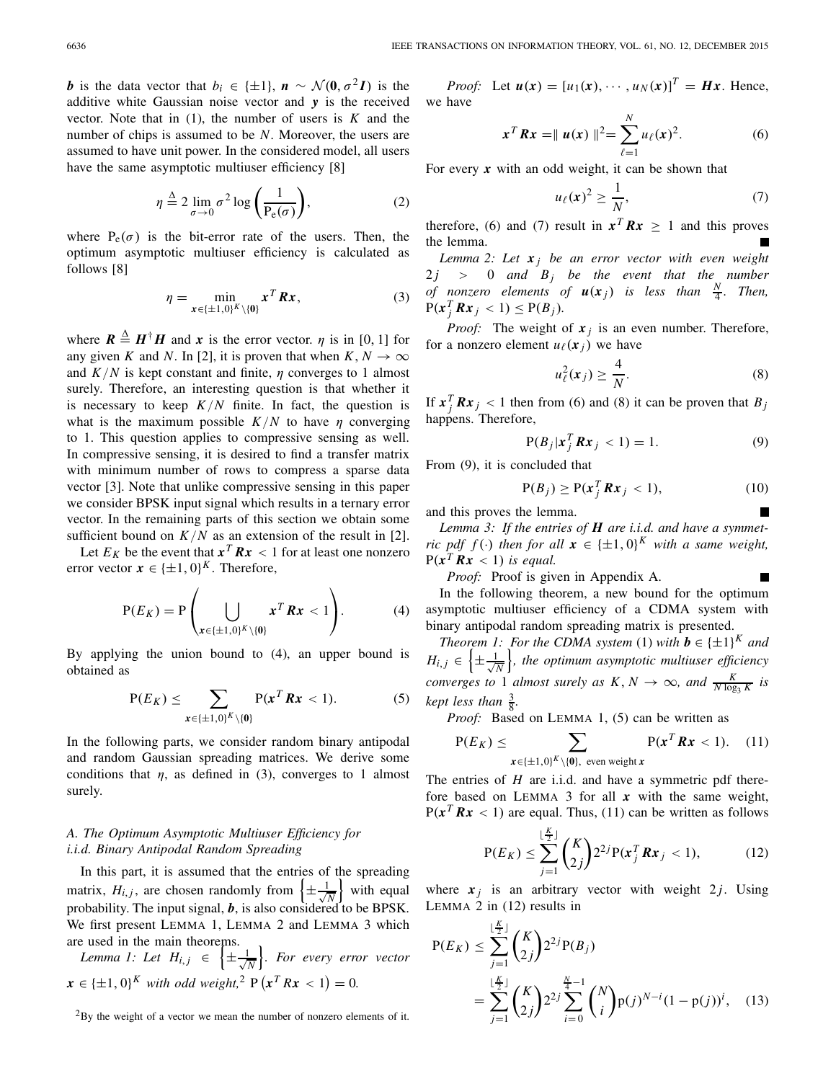*b* is the data vector that  $b_i \in \{\pm 1\}$ ,  $n \sim \mathcal{N}(0, \sigma^2 I)$  is the additive white Gaussian noise vector and *y* is the received vector. Note that in  $(1)$ , the number of users is  $K$  and the number of chips is assumed to be *N*. Moreover, the users are assumed to have unit power. In the considered model, all users have the same asymptotic multiuser efficiency [8]

$$
\eta \stackrel{\Delta}{=} 2 \lim_{\sigma \to 0} \sigma^2 \log \left( \frac{1}{P_e(\sigma)} \right),\tag{2}
$$

where  $P_e(\sigma)$  is the bit-error rate of the users. Then, the optimum asymptotic multiuser efficiency is calculated as follows [8]

$$
\eta = \min_{\mathbf{x} \in \{\pm 1, 0\}^K \setminus \{\mathbf{0}\}} \mathbf{x}^T \mathbf{R} \mathbf{x},\tag{3}
$$

where  $\mathbf{R} \triangleq \mathbf{H}^{\dagger} \mathbf{H}$  and x is the error vector.  $\eta$  is in [0, 1] for any given *K* and *N*. In [2], it is proven that when  $K, N \to \infty$ and  $K/N$  is kept constant and finite,  $\eta$  converges to 1 almost surely. Therefore, an interesting question is that whether it is necessary to keep  $K/N$  finite. In fact, the question is what is the maximum possible  $K/N$  to have  $\eta$  converging to 1. This question applies to compressive sensing as well. In compressive sensing, it is desired to find a transfer matrix with minimum number of rows to compress a sparse data vector [3]. Note that unlike compressive sensing in this paper we consider BPSK input signal which results in a ternary error vector. In the remaining parts of this section we obtain some sufficient bound on  $K/N$  as an extension of the result in [2].

Let  $E_K$  be the event that  $x^T R x < 1$  for at least one nonzero error vector  $x \in {\pm 1, 0}^K$ . Therefore,

$$
P(E_K) = P\left(\bigcup_{x \in \{\pm 1,0\}^K \setminus \{0\}} x^T R x < 1\right). \tag{4}
$$

By applying the union bound to (4), an upper bound is obtained as

$$
P(E_K) \leq \sum_{\boldsymbol{x} \in \{\pm 1, 0\}^K \setminus \{\boldsymbol{0}\}} P(\boldsymbol{x}^T \boldsymbol{R} \boldsymbol{x} < 1). \tag{5}
$$

In the following parts, we consider random binary antipodal and random Gaussian spreading matrices. We derive some conditions that  $\eta$ , as defined in (3), converges to 1 almost surely.

# *A. The Optimum Asymptotic Multiuser Efficiency for i.i.d. Binary Antipodal Random Spreading*

In this part, it is assumed that the entries of the spreading matrix,  $H_{i,j}$ , are chosen randomly from  $\left\{\pm\frac{1}{\sqrt{n}}\right\}$ *N* with equal probability. The input signal, *b*, is also considered to be BPSK. We first present LEMMA 1, LEMMA 2 and LEMMA 3 which are used in the main theorems.

*Lemma 1: Let*  $H_{i,j} \in \{\pm \frac{1}{\sqrt{j}}\}$ *N . For every error vector*  $x \in \{\pm 1, 0\}^K$  *with odd weight*,<sup>2</sup>  $P(x^T R x < 1) = 0$ .

 $2$ By the weight of a vector we mean the number of nonzero elements of it.

*Proof:* Let  $u(x) = [u_1(x), \cdots, u_N(x)]^T = Hx$ . Hence, we have

$$
\mathbf{x}^T \mathbf{R} \mathbf{x} = || \mathbf{u}(\mathbf{x}) ||^2 = \sum_{\ell=1}^N u_\ell(\mathbf{x})^2.
$$
 (6)

For every *x* with an odd weight, it can be shown that

$$
u_{\ell}(x)^2 \ge \frac{1}{N},\tag{7}
$$

therefore, (6) and (7) result in  $x^T R x \ge 1$  and this proves the lemma.

*Lemma 2: Let x <sup>j</sup> be an error vector with even weight*  $2j$   $>$  0 and  $B_j$  be the event that the number *of nonzero elements of*  $u(x_j)$  *is less than*  $\frac{N}{4}$ *. Then,*  $P(x_j^T R x_j < 1) \leq P(B_j).$ 

*Proof:* The weight of  $x_j$  is an even number. Therefore, for a nonzero element  $u_{\ell}(x_i)$  we have

$$
u_{\ell}^{2}(\mathbf{x}_{j}) \geq \frac{4}{N}.
$$
 (8)

If  $x_j^T R x_j < 1$  then from (6) and (8) it can be proven that  $B_j$ happens. Therefore,

$$
P(B_j | \mathbf{x}_j^T \mathbf{R} \mathbf{x}_j < 1) = 1. \tag{9}
$$

From (9), it is concluded that

$$
P(B_j) \ge P(x_j^T R x_j < 1),\tag{10}
$$

and this proves the lemma.

*Lemma 3: If the entries of H are i.i.d. and have a symmetric pdf f*( $\cdot$ ) *then for all*  $\mathbf{x} \in {\pm 1, 0}^K$  *with a same weight,*  $P(x^T R x < 1)$  *is equal.* 

*Proof:* Proof is given in Appendix A.

In the following theorem, a new bound for the optimum asymptotic multiuser efficiency of a CDMA system with binary antipodal random spreading matrix is presented.

*Theorem 1: For the CDMA system* (1) *with*  $\mathbf{b} \in \{\pm 1\}^K$  *and*  $H_{i,j} \in \left\{\pm \frac{1}{\sqrt{j}}\right\}$ *N , the optimum asymptotic multiuser efficiency converges to* 1 *almost surely as*  $K, N \rightarrow \infty$ *, and*  $\frac{K}{N \log_3 K}$  *is*  $k$ *ept less than*  $\frac{3}{8}$ .

*Proof:* Based on LEMMA 1, (5) can be written as

$$
P(E_K) \le \sum_{x \in \{\pm 1, 0\}^K \setminus \{0\}, \text{ even weight } x} P(x^T R x < 1). \tag{11}
$$

The entries of *H* are i.i.d. and have a symmetric pdf therefore based on LEMMA 3 for all *x* with the same weight,  $P(x^T R x < 1)$  are equal. Thus, (11) can be written as follows

$$
P(E_K) \leq \sum_{j=1}^{\lfloor \frac{K}{2} \rfloor} {K \choose 2j} 2^{2j} P(x_j^T R x_j < 1),\tag{12}
$$

where  $x_j$  is an arbitrary vector with weight 2*j*. Using LEMMA 2 in (12) results in

$$
P(E_K) \leq \sum_{j=1}^{\lfloor \frac{K}{2} \rfloor} {K \choose 2j} 2^{2j} P(B_j)
$$
  
= 
$$
\sum_{j=1}^{\lfloor \frac{K}{2} \rfloor} {K \choose 2j} 2^{2j} \sum_{i=0}^{\frac{N}{4}-1} {N \choose i} p(j)^{N-i} (1-p(j))^i, \quad (13)
$$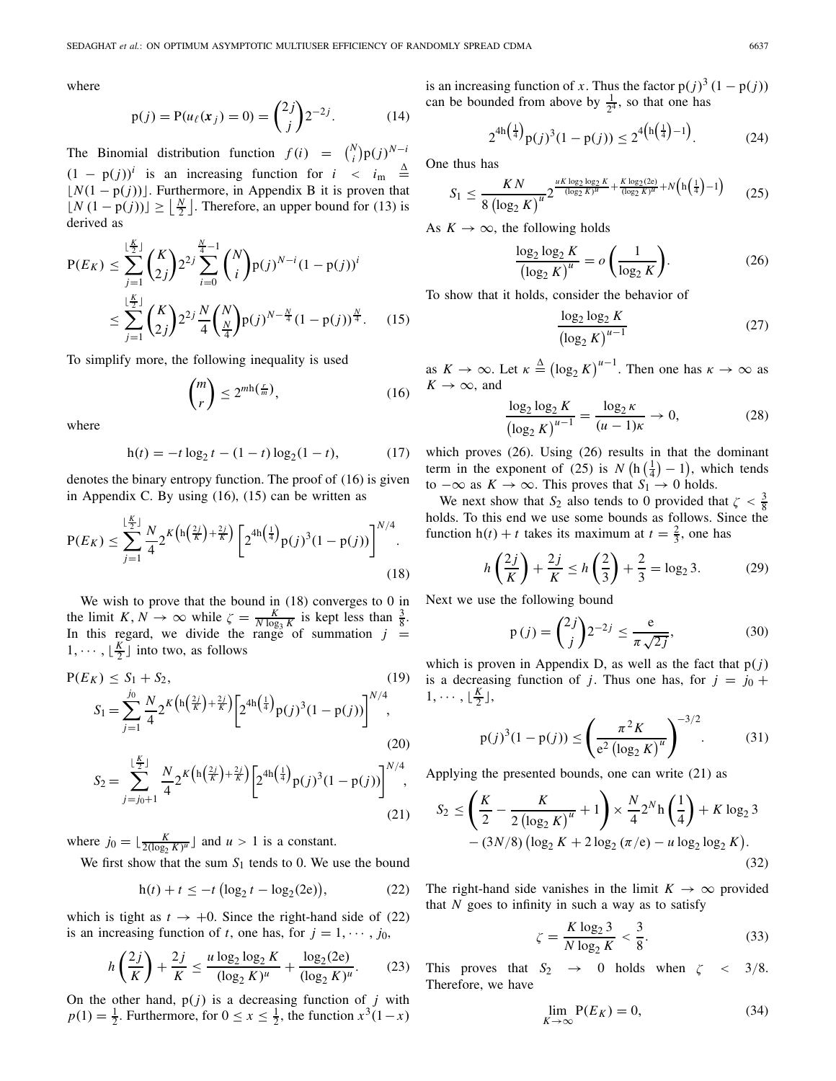where

$$
p(j) = P(u_{\ell}(x_j) = 0) = {2j \choose j} 2^{-2j}.
$$
 (14)

The Binomial distribution function  $f(i) = {N \choose i} p(j)^{N-i}$  $(1 - p(j))$ <sup>*i*</sup> is an increasing function for *i* < *i*<sub>m</sub>  $\stackrel{\Delta}{=}$  $\lfloor N(1 - p(j)) \rfloor$ . Furthermore, in Appendix B it is proven that  $\lfloor N(1-p(j)) \rfloor$  ≥  $\lfloor \frac{N}{2} \rfloor$ . Therefore, an upper bound for (13) is derived as

$$
P(E_K) \leq \sum_{j=1}^{\lfloor \frac{K}{2} \rfloor} {K \choose 2j} 2^{2j} \sum_{i=0}^{\frac{N}{4}-1} {N \choose i} p(j)^{N-i} (1-p(j))^i
$$
  

$$
\leq \sum_{j=1}^{\lfloor \frac{K}{2} \rfloor} {K \choose 2j} 2^{2j} \frac{N}{4} {N \choose \frac{N}{4}} p(j)^{N-\frac{N}{4}} (1-p(j))^{\frac{N}{4}}.
$$
 (15)

To simplify more, the following inequality is used

$$
\binom{m}{r} \le 2^{m \ln(\frac{r}{m})},\tag{16}
$$

where

$$
h(t) = -t \log_2 t - (1 - t) \log_2 (1 - t), \tag{17}
$$

denotes the binary entropy function. The proof of (16) is given in Appendix C. By using (16), (15) can be written as

$$
P(E_K) \le \sum_{j=1}^{\lfloor \frac{K}{2} \rfloor} \frac{N}{4} 2^{K \left( h \left( \frac{2j}{K} \right) + \frac{2j}{K} \right)} \left[ 2^{4h \left( \frac{1}{4} \right)} p(j)^3 (1 - p(j)) \right]^{N/4}.
$$
\n(18)

We wish to prove that the bound in (18) converges to 0 in the limit  $K, N \to \infty$  while  $\zeta = \frac{K}{N \log_3 K}$  is kept less than  $\frac{3}{8}$ . In this regard, we divide the range of summation  $j =$  $1, \dots, \lfloor \frac{K}{2} \rfloor$  into two, as follows

$$
P(E_K) \le S_1 + S_2,
$$
\n
$$
S_1 = \sum_{j=1}^{j_0} \frac{N}{4} 2^K { (h(\frac{2j}{K}) + \frac{2j}{K})} \left[ 2^{4h(\frac{1}{4})} p(j)^3 (1 - p(j)) \right]^{N/4},
$$
\n(20)

$$
S_2 = \sum_{j=j_0+1}^{\lfloor \frac{K}{2} \rfloor} \frac{N}{4} 2^K \left( h \left( \frac{2j}{K} \right) + \frac{2j}{K} \right) \left[ 2^{4h \left( \frac{1}{4} \right)} p(j)^3 (1 - p(j)) \right]^{N/4},\tag{21}
$$

where  $j_0 = \lfloor \frac{K}{2(\log_2 K)^u} \rfloor$  and  $u > 1$  is a constant.

We first show that the sum  $S_1$  tends to 0. We use the bound

$$
h(t) + t \le -t (\log_2 t - \log_2(2e)),
$$
 (22)

which is tight as  $t \to +0$ . Since the right-hand side of (22) is an increasing function of *t*, one has, for  $j = 1, \dots, j_0$ ,

$$
h\left(\frac{2j}{K}\right) + \frac{2j}{K} \le \frac{u\log_2\log_2 K}{(\log_2 K)^u} + \frac{\log_2(2e)}{(\log_2 K)^u}.
$$
 (23)

On the other hand,  $p(j)$  is a decreasing function of  $j$  with  $p(1) = \frac{1}{2}$ . Furthermore, for  $0 \le x \le \frac{1}{2}$ , the function  $x^3(1-x)$  is an increasing function of *x*. Thus the factor  $p(j)^3 (1 - p(j))$ can be bounded from above by  $\frac{1}{2^4}$ , so that one has

$$
2^{4h\left(\frac{1}{4}\right)}p(j)^3(1-p(j)) \le 2^{4\left(h\left(\frac{1}{4}\right)-1\right)}.
$$
 (24)

One thus has

$$
S_1 \le \frac{KN}{8 \left(\log_2 K\right)^u} 2^{\frac{uK \log_2 \log_2 K}{(\log_2 K)^u} + \frac{K \log_2 (2\epsilon)}{(\log_2 K)^u} + N\left(h\left(\frac{1}{4}\right) - 1\right)}\tag{25}
$$

As  $K \to \infty$ , the following holds

$$
\frac{\log_2 \log_2 K}{\left(\log_2 K\right)^u} = o\left(\frac{1}{\log_2 K}\right). \tag{26}
$$

To show that it holds, consider the behavior of

$$
\frac{\log_2 \log_2 K}{\left(\log_2 K\right)^{u-1}}\tag{27}
$$

as  $K \to \infty$ . Let  $\kappa \triangleq (\log_2 K)^{u-1}$ . Then one has  $\kappa \to \infty$  as  $K \rightarrow \infty$ , and

$$
\frac{\log_2 \log_2 K}{(\log_2 K)^{u-1}} = \frac{\log_2 \kappa}{(u-1)\kappa} \to 0,
$$
 (28)

which proves (26). Using (26) results in that the dominant term in the exponent of (25) is  $N(h(\frac{1}{4})-1)$ , which tends to  $-\infty$  as *K* →  $\infty$ . This proves that *S*<sub>1</sub> → 0 holds.

We next show that  $S_2$  also tends to 0 provided that  $\zeta < \frac{3}{8}$ holds. To this end we use some bounds as follows. Since the function  $h(t) + t$  takes its maximum at  $t = \frac{2}{3}$ , one has

$$
h\left(\frac{2j}{K}\right) + \frac{2j}{K} \le h\left(\frac{2}{3}\right) + \frac{2}{3} = \log_2 3. \tag{29}
$$

Next we use the following bound

$$
p(j) = \binom{2j}{j} 2^{-2j} \le \frac{e}{\pi \sqrt{2j}},
$$
\n(30)

which is proven in Appendix D, as well as the fact that  $p(j)$ is a decreasing function of *j*. Thus one has, for  $j = j_0 + j_1$  $1,\cdots,\lfloor \frac{K}{2} \rfloor,$ 

$$
p(j)^{3}(1 - p(j)) \leq \left(\frac{\pi^{2} K}{e^{2} (\log_{2} K)^{u}}\right)^{-3/2}.
$$
 (31)

Applying the presented bounds, one can write (21) as

$$
S_2 \le \left(\frac{K}{2} - \frac{K}{2\left(\log_2 K\right)^u} + 1\right) \times \frac{N}{4} 2^N \ln\left(\frac{1}{4}\right) + K \log_2 3 - (3N/8) \left(\log_2 K + 2 \log_2 \left(\frac{\pi}{e}\right) - u \log_2 \log_2 K\right).
$$
\n(32)

The right-hand side vanishes in the limit  $K \to \infty$  provided that  $N$  goes to infinity in such a way as to satisfy

$$
\zeta = \frac{K \log_2 3}{N \log_2 K} < \frac{3}{8}.\tag{33}
$$

This proves that  $S_2 \rightarrow 0$  holds when  $\zeta \leq 3/8$ . Therefore, we have

$$
\lim_{K \to \infty} P(E_K) = 0,\tag{34}
$$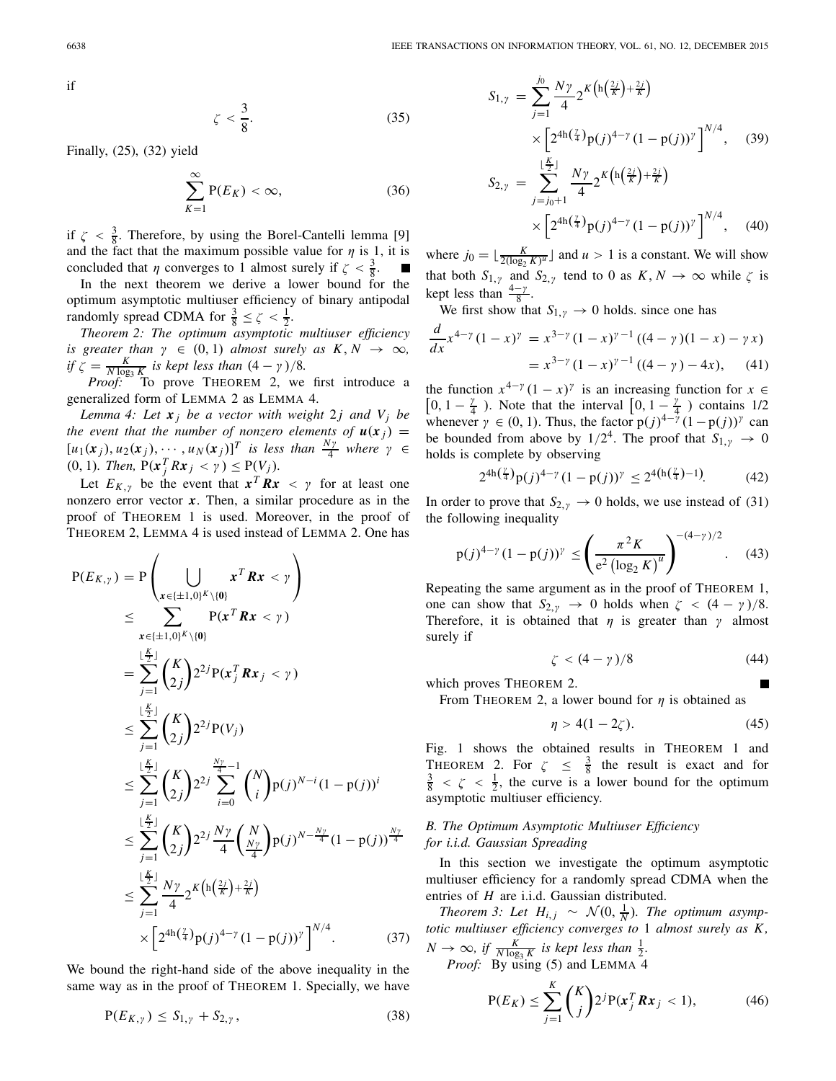if

$$
\zeta < \frac{3}{8}.\tag{35}
$$

Finally, (25), (32) yield

$$
\sum_{K=1}^{\infty} P(E_K) < \infty,\tag{36}
$$

if  $\zeta < \frac{3}{8}$ . Therefore, by using the Borel-Cantelli lemma [9] and the fact that the maximum possible value for  $\eta$  is 1, it is concluded that  $\eta$  converges to 1 almost surely if  $\zeta < \frac{3}{8}$ . П

In the next theorem we derive a lower bound for the optimum asymptotic multiuser efficiency of binary antipodal randomly spread CDMA for  $\frac{3}{8} \le \zeta < \frac{1}{2}$ .

*Theorem 2: The optimum asymptotic multiuser efficiency is greater than*  $\gamma \in (0, 1)$  *almost surely as*  $K, N \rightarrow \infty$ *, if*  $\zeta = \frac{K}{N \log_3 K}$  *is kept less than*  $(4 - \gamma)/8$ *.*<br>*Proof:* To prove THEOREM 2, we first introduce a

generalized form of LEMMA 2 as LEMMA 4.

*Lemma 4: Let*  $x_j$  *be a vector with weight* 2*j and*  $V_j$  *be the event that the number of nonzero elements of*  $u(x_j)$  =  $[u_1(x_j), u_2(x_j), \cdots, u_N(x_j)]^T$  *is less than*  $\frac{N\gamma}{4}$  *where*  $\gamma \in$  $(0, 1)$ *. Then,*  $P(x_j^T R x_j < \gamma) \leq P(V_j)$ *.* 

Let  $E_{K,\gamma}$  be the event that  $x^T R x < \gamma$  for at least one nonzero error vector  $x$ . Then, a similar procedure as in the proof of THEOREM 1 is used. Moreover, in the proof of THEOREM 2, LEMMA 4 is used instead of LEMMA 2. One has

$$
P(E_{K,y}) = P\left(\bigcup_{x \in \{\pm 1,0\}^K \setminus \{0\}} x^T R x < y\right)
$$
  
\n
$$
\leq \sum_{x \in \{\pm 1,0\}^K \setminus \{0\}} P(x^T R x < y)
$$
  
\n
$$
= \sum_{j=1}^{\lfloor \frac{K}{2} \rfloor} {K \choose 2} 2^{2j} P(x_j^T R x_j < y)
$$
  
\n
$$
\leq \sum_{j=1}^{\lfloor \frac{K}{2} \rfloor} {K \choose 2} 2^{2j} P(V_j)
$$
  
\n
$$
\leq \sum_{j=1}^{\lfloor \frac{K}{2} \rfloor} {K \choose 2} 2^{2j} \sum_{i=0}^{\frac{N\gamma}{4}-1} {N \choose i} p(j)^{N-i} (1-p(j))^i
$$
  
\n
$$
\leq \sum_{j=1}^{\lfloor \frac{K}{2} \rfloor} {K \choose 2} 2^{2j} \frac{N\gamma}{4} {N \choose \frac{N\gamma}{4}} p(j)^{N-\frac{N\gamma}{4}} (1-p(j))^{\frac{N\gamma}{4}}
$$
  
\n
$$
\leq \sum_{j=1}^{\lfloor \frac{K}{2} \rfloor} \frac{N\gamma}{4} 2^{K \left( h(\frac{2j}{K}) + \frac{2j}{K} \right)}
$$
  
\n
$$
\times \left[ 2^{4h(\frac{7}{4})} p(j)^{4-\gamma} (1-p(j))^{\gamma} \right]^{N/4}.
$$
 (37)

We bound the right-hand side of the above inequality in the same way as in the proof of THEOREM 1. Specially, we have

$$
P(E_{K,\gamma}) \leq S_{1,\gamma} + S_{2,\gamma},\tag{38}
$$

$$
S_{1,\gamma} = \sum_{j=1}^{j_0} \frac{N\gamma}{4} 2^{K \left( \ln \left( \frac{2j}{K} \right) + \frac{2j}{K} \right)}
$$
  
 
$$
\times \left[ 2^{4\ln \left( \frac{\gamma}{4} \right)} p(j)^{4-\gamma} (1 - p(j))^{\gamma} \right]^{N/4}, \quad (39)
$$
  
\n
$$
S_{2,\gamma} = \sum_{j=j_0+1}^{\lfloor \frac{K}{2} \rfloor} \frac{N\gamma}{4} 2^{K \left( \ln \left( \frac{2j}{K} \right) + \frac{2j}{K} \right)}
$$
  
\n
$$
\times \left[ 2^{4\ln \left( \frac{\gamma}{4} \right)} p(j)^{4-\gamma} (1 - p(j))^{\gamma} \right]^{N/4}, \quad (40)
$$

where  $j_0 = \lfloor \frac{K}{2(\log_2 K)^u} \rfloor$  and  $u > 1$  is a constant. We will show that both  $S_{1,y}$  and  $S_{2,y}$  tend to 0 as  $K, N \to \infty$  while  $\zeta$  is kept less than  $\frac{4-\gamma}{8}$ .

We first show that  $S_{1,y} \to 0$  holds. since one has

$$
\frac{d}{dx}x^{4-\gamma}(1-x)^{\gamma} = x^{3-\gamma}(1-x)^{\gamma-1}((4-\gamma)(1-x)-\gamma x)
$$

$$
= x^{3-\gamma}(1-x)^{\gamma-1}((4-\gamma)-4x), \quad (41)
$$

the function  $x^{4-\gamma}(1-x)^{\gamma}$  is an increasing function for  $x \in$  $\left[0, 1-\frac{\gamma}{4}\right)$ . Note that the interval  $\left[0, 1-\frac{\gamma}{4}\right)$  contains 1/2 whenever  $\gamma \in (0, 1)$ . Thus, the factor  $p(j)^{4-\gamma} (1-p(j))^{\gamma}$  can be bounded from above by  $1/2^4$ . The proof that  $S_{1,y} \rightarrow 0$ holds is complete by observing

$$
2^{4h(\frac{\gamma}{4})}p(j)^{4-\gamma}(1-p(j))^{\gamma} \le 2^{4(h(\frac{\gamma}{4})-1)}.
$$
 (42)

In order to prove that  $S_{2,y} \to 0$  holds, we use instead of (31) the following inequality

$$
p(j)^{4-\gamma} (1-p(j))^{\gamma} \le \left(\frac{\pi^2 K}{e^2 \left(\log_2 K\right)^u}\right)^{-(4-\gamma)/2}.\tag{43}
$$

Repeating the same argument as in the proof of THEOREM 1, one can show that  $S_{2,\gamma} \to 0$  holds when  $\zeta \lt (4 - \gamma)/8$ . Therefore, it is obtained that  $\eta$  is greater than  $\gamma$  almost surely if

$$
\zeta < (4 - \gamma)/8\tag{44}
$$

which proves THEOREM 2.

From THEOREM 2, a lower bound for  $\eta$  is obtained as

$$
\eta > 4(1 - 2\zeta). \tag{45}
$$

Fig. 1 shows the obtained results in THEOREM 1 and THEOREM 2. For  $\zeta \leq \frac{3}{8}$  the result is exact and for  $\frac{3}{8} < \zeta < \frac{1}{2}$ , the curve is a lower bound for the optimum asymptotic multiuser efficiency.

# *B. The Optimum Asymptotic Multiuser Efficiency for i.i.d. Gaussian Spreading*

In this section we investigate the optimum asymptotic multiuser efficiency for a randomly spread CDMA when the entries of *H* are i.i.d. Gaussian distributed.

*Theorem 3: Let*  $H_{i,j} \sim \mathcal{N}(0, \frac{1}{N})$ *. The optimum asymptotic multiuser efficiency converges to* 1 *almost surely as K ,*  $N \to \infty$ , if  $\frac{K}{N \log_3 K}$  is kept less than  $\frac{1}{2}$ . *Proof:* By using (5) and LEMMA 4

$$
P(E_K) \le \sum_{j=1}^{K} {K \choose j} 2^j P(x_j^T R x_j < 1), \tag{46}
$$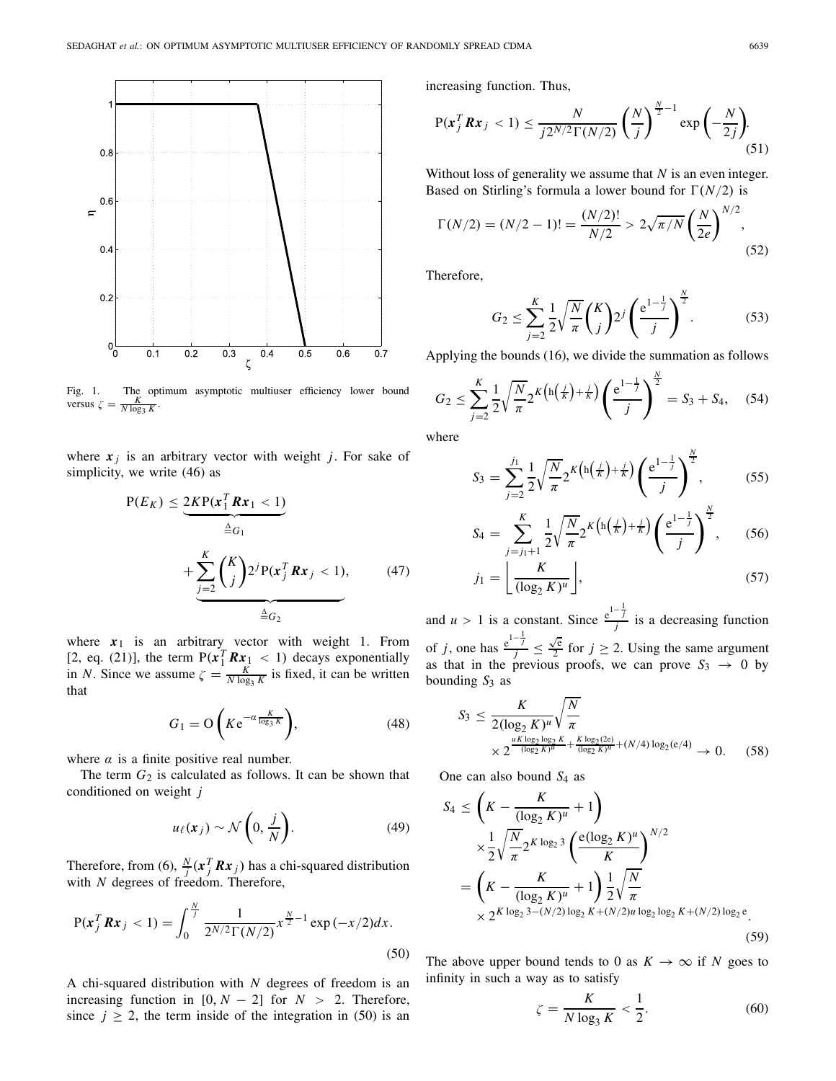

Fig. 1. The optimum asymptotic multiuser efficiency lower bound versus  $\zeta = \frac{K}{N \log_3 K}$ 

where  $x_j$  is an arbitrary vector with weight *j*. For sake of simplicity, we write (46) as

$$
P(E_K) \leq \underbrace{2KP(\mathbf{x}_1^T \mathbf{R} \mathbf{x}_1 < 1)}_{\triangleq G_1} + \underbrace{\sum_{j=2}^K \binom{K}{j} 2^j P(\mathbf{x}_j^T \mathbf{R} \mathbf{x}_j < 1)}_{\triangleq G_2},\tag{47}
$$

where  $x_1$  is an arbitrary vector with weight 1. From [2, eq. (21)], the term  $P(x_1^T R x_1 < 1)$  decays exponentially in *N*. Since we assume  $\zeta = \frac{K}{N \log_3 K}$  is fixed, it can be written that

$$
G_1 = \mathcal{O}\left(K e^{-\alpha \frac{K}{\log_3 K}}\right),\tag{48}
$$

where  $\alpha$  is a finite positive real number.

The term  $G_2$  is calculated as follows. It can be shown that conditioned on weight *j*

$$
u_{\ell}(x_j) \sim \mathcal{N}\left(0, \frac{j}{N}\right). \tag{49}
$$

Therefore, from (6),  $\frac{N}{j}$  ( $\mathbf{x}_j^T \mathbf{R} \mathbf{x}_j$ ) has a chi-squared distribution with *N* degrees of freedom. Therefore,

$$
P(x_j^T R x_j < 1) = \int_0^{\frac{N}{j}} \frac{1}{2^{N/2} \Gamma(N/2)} x^{\frac{N}{2} - 1} \exp\left(-\frac{x}{2}\right) dx. \tag{50}
$$

A chi-squared distribution with *N* degrees of freedom is an increasing function in  $[0, N - 2]$  for  $N > 2$ . Therefore, since  $j \ge 2$ , the term inside of the integration in (50) is an increasing function. Thus,

$$
P(x_j^T R x_j < 1) \le \frac{N}{j2^{N/2} \Gamma(N/2)} \left(\frac{N}{j}\right)^{\frac{N}{2}-1} \exp\left(-\frac{N}{2j}\right). \tag{51}
$$

Without loss of generality we assume that *N* is an even integer. Based on Stirling's formula a lower bound for  $\Gamma(N/2)$  is

$$
\Gamma(N/2) = (N/2 - 1)! = \frac{(N/2)!}{N/2} > 2\sqrt{\pi/N} \left(\frac{N}{2e}\right)^{N/2},\tag{52}
$$

Therefore,

$$
G_2 \le \sum_{j=2}^K \frac{1}{2} \sqrt{\frac{N}{\pi}} \binom{K}{j} 2^j \left(\frac{e^{1-\frac{1}{j}}}{j}\right)^{\frac{N}{2}}.
$$
 (53)

Applying the bounds (16), we divide the summation as follows

$$
G_2 \le \sum_{j=2}^K \frac{1}{2} \sqrt{\frac{N}{\pi}} 2^K \left( \ln \left( \frac{j}{K} \right) + \frac{j}{K} \right) \left( \frac{e^{1 - \frac{1}{j}}}{j} \right)^{\frac{N}{2}} = S_3 + S_4, \quad (54)
$$

where

$$
S_3 = \sum_{j=2}^{j_1} \frac{1}{2} \sqrt{\frac{N}{\pi}} 2^K \left( h \left( \frac{j}{K} \right) + \frac{j}{K} \right) \left( \frac{e^{1 - \frac{1}{j}}}{j} \right)^{\frac{N}{2}},\tag{55}
$$

$$
S_4 = \sum_{j=j_1+1}^{K} \frac{1}{2} \sqrt{\frac{N}{\pi}} 2^K \left( h \left( \frac{j}{K} \right) + \frac{j}{K} \right) \left( \frac{e^{1-\frac{1}{j}}}{j} \right)^{\frac{N}{2}},\qquad(56)
$$

$$
j_1 = \left\lfloor \frac{K}{(\log_2 K)^u} \right\rfloor, \tag{57}
$$

and *u* > 1 is a constant. Since  $\frac{e^{1-\frac{1}{j}}}{j}$  is a decreasing function of *j*, one has  $\frac{e^{1-\frac{1}{j}}}{j} \leq$ √e  $\frac{\sqrt{e}}{2}$  for  $j \ge 2$ . Using the same argument as that in the previous proofs, we can prove  $S_3 \rightarrow 0$  by bounding *S*<sup>3</sup> as

$$
S_3 \leq \frac{K}{2(\log_2 K)^u} \sqrt{\frac{N}{\pi}} \times 2^{\frac{uK \log_2 \log_2 K}{(\log_2 K)^u} + \frac{K \log_2(2e)}{(\log_2 K)^u} + (N/4) \log_2(e/4)} \to 0.
$$
 (58)

One can also bound *S*<sup>4</sup> as

$$
S_4 \leq \left(K - \frac{K}{(\log_2 K)^u} + 1\right)
$$
  
\n
$$
\times \frac{1}{2} \sqrt{\frac{N}{\pi}} 2^{K \log_2 3} \left(\frac{e(\log_2 K)^u}{K}\right)^{N/2}
$$
  
\n
$$
= \left(K - \frac{K}{(\log_2 K)^u} + 1\right) \frac{1}{2} \sqrt{\frac{N}{\pi}}
$$
  
\n
$$
\times 2^{K \log_2 3 - (N/2) \log_2 K + (N/2)u \log_2 \log_2 K + (N/2) \log_2 e}.
$$
\n(59)

The above upper bound tends to 0 as  $K \to \infty$  if *N* goes to infinity in such a way as to satisfy

$$
\zeta = \frac{K}{N \log_3 K} < \frac{1}{2}.\tag{60}
$$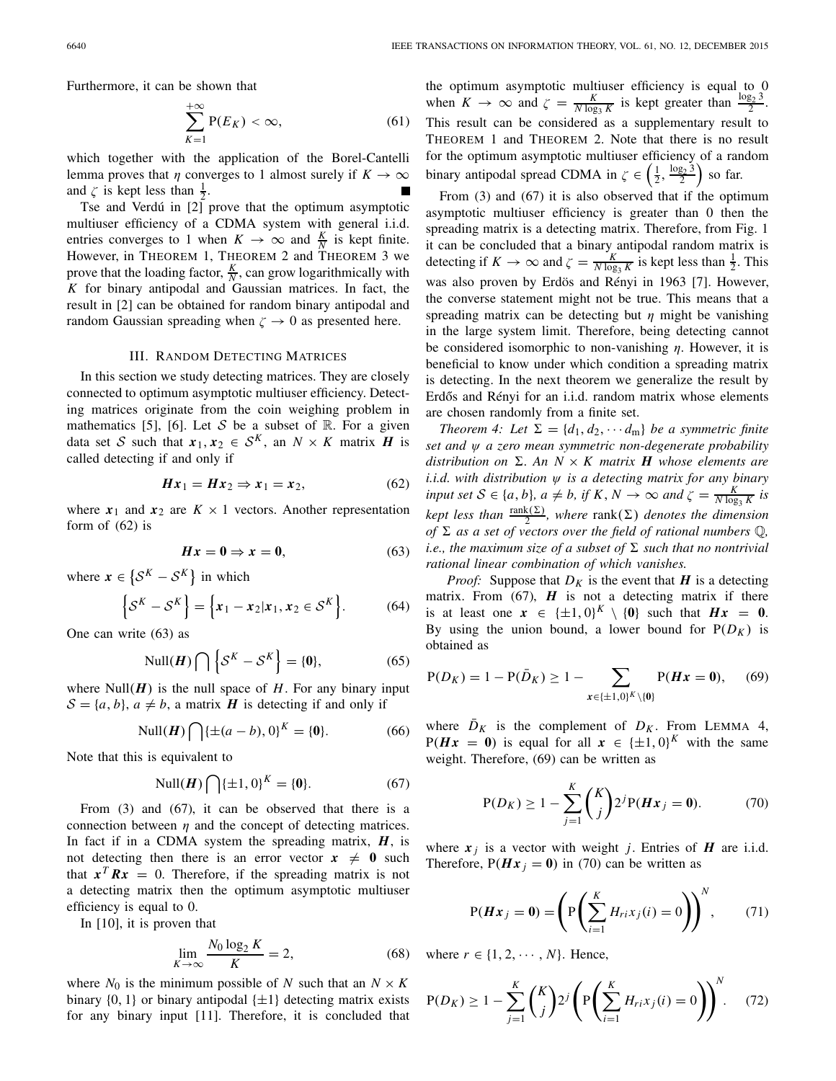Furthermore, it can be shown that

$$
\sum_{K=1}^{+\infty} P(E_K) < \infty,\tag{61}
$$

which together with the application of the Borel-Cantelli lemma proves that  $\eta$  converges to 1 almost surely if  $K \to \infty$ and  $\zeta$  is kept less than  $\frac{1}{2}$ .

Tse and Verdú in [2] prove that the optimum asymptotic multiuser efficiency of a CDMA system with general i.i.d. entries converges to 1 when  $K \to \infty$  and  $\frac{K}{N}$  is kept finite. However, in THEOREM 1, THEOREM 2 and THEOREM 3 we prove that the loading factor,  $\frac{K}{N}$ , can grow logarithmically with *K* for binary antipodal and Gaussian matrices. In fact, the result in [2] can be obtained for random binary antipodal and random Gaussian spreading when  $\zeta \to 0$  as presented here.

#### III. RANDOM DETECTING MATRICES

In this section we study detecting matrices. They are closely connected to optimum asymptotic multiuser efficiency. Detecting matrices originate from the coin weighing problem in mathematics [5], [6]. Let *S* be a subset of  $\mathbb{R}$ . For a given data set *S* such that  $x_1, x_2 \in S^K$ , an  $N \times K$  matrix *H* is called detecting if and only if

$$
Hx_1 = Hx_2 \Rightarrow x_1 = x_2,\tag{62}
$$

where  $x_1$  and  $x_2$  are  $K \times 1$  vectors. Another representation form of  $(62)$  is

$$
Hx = 0 \Rightarrow x = 0,\tag{63}
$$

where  $\mathbf{x} \in \{ \mathcal{S}^K - \mathcal{S}^K \}$  in which

$$
\left\{ \mathcal{S}^K - \mathcal{S}^K \right\} = \left\{ x_1 - x_2 | x_1, x_2 \in \mathcal{S}^K \right\}. \tag{64}
$$

One can write (63) as

$$
\text{Null}(\boldsymbol{H}) \bigcap \left\{ \mathcal{S}^K - \mathcal{S}^K \right\} = \{0\},\tag{65}
$$

where  $Null(H)$  is the null space of  $H$ . For any binary input  $S = \{a, b\}$ ,  $a \neq b$ , a matrix *H* is detecting if and only if

Null(*H*) 
$$
\bigcap {\pm (a - b), 0}^K = {0}.
$$
 (66)

Note that this is equivalent to

Null(*H*) 
$$
\bigcap {\pm 1, 0}^K = \{0\}.
$$
 (67)

From (3) and (67), it can be observed that there is a connection between  $\eta$  and the concept of detecting matrices. In fact if in a CDMA system the spreading matrix, *H*, is not detecting then there is an error vector  $x \neq 0$  such that  $x^T R x = 0$ . Therefore, if the spreading matrix is not a detecting matrix then the optimum asymptotic multiuser efficiency is equal to 0.

In [10], it is proven that

$$
\lim_{K \to \infty} \frac{N_0 \log_2 K}{K} = 2,\tag{68}
$$

where  $N_0$  is the minimum possible of N such that an  $N \times K$ binary  $\{0, 1\}$  or binary antipodal  $\{\pm 1\}$  detecting matrix exists for any binary input [11]. Therefore, it is concluded that

the optimum asymptotic multiuser efficiency is equal to 0 when  $K \to \infty$  and  $\zeta = \frac{K}{N \log_3 K}$  is kept greater than  $\frac{\log_2 3}{2}$ . This result can be considered as a supplementary result to THEOREM 1 and THEOREM 2. Note that there is no result for the optimum asymptotic multiuser efficiency of a random binary antipodal spread CDMA in  $\zeta \in \left(\frac{1}{2}, \frac{\log_2 3}{2}\right)$  so far.

From (3) and (67) it is also observed that if the optimum asymptotic multiuser efficiency is greater than 0 then the spreading matrix is a detecting matrix. Therefore, from Fig. 1 it can be concluded that a binary antipodal random matrix is detecting if  $K \to \infty$  and  $\zeta = \frac{K}{N \log_3 K}$  is kept less than  $\frac{1}{2}$ . This was also proven by Erdös and Rényi in 1963 [7]. However, the converse statement might not be true. This means that a spreading matrix can be detecting but  $\eta$  might be vanishing in the large system limit. Therefore, being detecting cannot be considered isomorphic to non-vanishing  $\eta$ . However, it is beneficial to know under which condition a spreading matrix is detecting. In the next theorem we generalize the result by Erdős and Rényi for an i.i.d. random matrix whose elements are chosen randomly from a finite set.

*Theorem 4: Let*  $\Sigma = \{d_1, d_2, \cdots d_m\}$  *be a symmetric finite set and* ψ *a zero mean symmetric non-degenerate probability* distribution on  $\Sigma$ . An  $N \times K$  matrix **H** whose elements are *i.i.d. with distribution* ψ *is a detecting matrix for any binary input set*  $S \in \{a, b\}$ ,  $a \neq b$ , if  $K, N \to \infty$  and  $\zeta = \frac{K}{N \log_3 K}$  is  $\mathcal{L}_{k}$  *kept less than*  $\frac{\text{rank}(\Sigma)}{2}$ , where  $\text{rank}(\Sigma)$  *denotes the dimension of*  $\Sigma$  *as a set of vectors over the field of rational numbers*  $\mathbb{Q}$ *, i.e., the maximum size of a subset of*  $\Sigma$  *such that no nontrivial rational linear combination of which vanishes.*

*Proof:* Suppose that  $D_K$  is the event that  $H$  is a detecting matrix. From  $(67)$ ,  $H$  is not a detecting matrix if there is at least one  $x \in {\pm 1, 0}^K \setminus {\bf{0}}$  such that  $Hx = 0$ . By using the union bound, a lower bound for  $P(D_K)$  is obtained as

$$
P(D_K) = 1 - P(\bar{D}_K) \ge 1 - \sum_{x \in \{\pm 1, 0\}^K \setminus \{0\}} P(Hx = 0), \quad (69)
$$

where  $D_K$  is the complement of  $D_K$ . From LEMMA 4,  $P(Hx = 0)$  is equal for all  $x \in {\pm 1, 0}^K$  with the same weight. Therefore, (69) can be written as

$$
P(D_K) \ge 1 - \sum_{j=1}^{K} {K \choose j} 2^{j} P(Hx_j = 0).
$$
 (70)

where  $x_j$  is a vector with weight *j*. Entries of  $H$  are i.i.d. Therefore,  $P(Hx_i = 0)$  in (70) can be written as

$$
P(Hx_j = 0) = \left( P\left(\sum_{i=1}^{K} H_{ri}x_j(i) = 0\right) \right)^N, \qquad (71)
$$

where  $r \in \{1, 2, \cdots, N\}$ . Hence,

$$
P(D_K) \ge 1 - \sum_{j=1}^{K} {K \choose j} 2^j \left( P \left( \sum_{i=1}^{K} H_{ri} x_j(i) = 0 \right) \right)^N.
$$
 (72)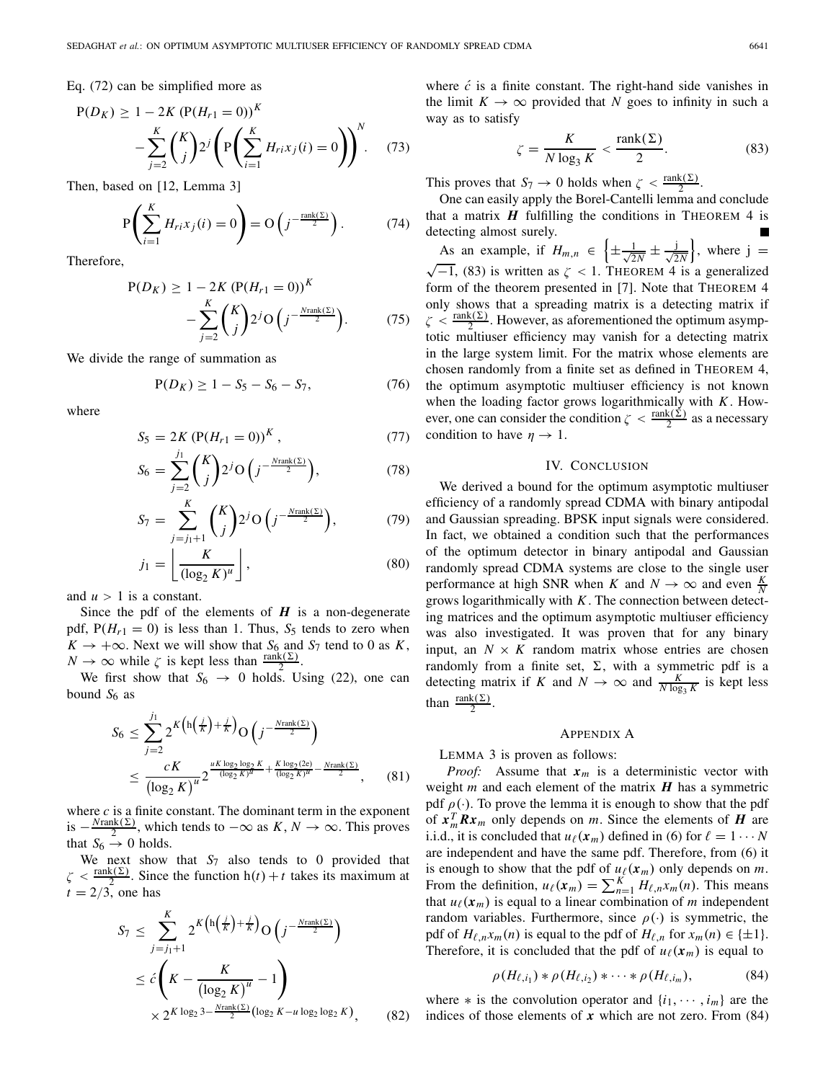Eq. (72) can be simplified more as

$$
P(D_K) \ge 1 - 2K (P(H_{r1} = 0))^K - \sum_{j=2}^K {K \choose j} 2^j \left( P \left( \sum_{i=1}^K H_{ri} x_j(i) = 0 \right) \right)^N.
$$
 (73)

Then, based on [12, Lemma 3]

$$
P\left(\sum_{i=1}^{K} H_{ri}x_j(i) = 0\right) = O\left(j^{-\frac{\text{rank}(\Sigma)}{2}}\right).
$$
 (74)

Therefore,

$$
P(D_K) \ge 1 - 2K (P(H_{r1} = 0))^K - \sum_{j=2}^{K} {K \choose j} 2^j O(j^{-\frac{N \text{rank}(\Sigma)}{2}}).
$$
 (75)

We divide the range of summation as

$$
P(D_K) \ge 1 - S_5 - S_6 - S_7,\tag{76}
$$

where

$$
S_5 = 2K \left( P(H_{r1} = 0) \right)^K, \tag{77}
$$

$$
S_6 = \sum_{j=2}^{j_1} {K \choose j} 2^j \mathcal{O} \left( j^{-\frac{N \text{rank}(\Sigma)}{2}} \right),\tag{78}
$$

$$
S_7 = \sum_{j=j_1+1}^{K} {K \choose j} 2^j \mathcal{O}\left(j^{-\frac{N \text{rank}(\Sigma)}{2}}\right),\tag{79}
$$

$$
j_1 = \left\lfloor \frac{K}{(\log_2 K)^u} \right\rfloor, \tag{80}
$$

and  $u > 1$  is a constant.

Since the pdf of the elements of  $H$  is a non-degenerate pdf,  $P(H_{r1} = 0)$  is less than 1. Thus,  $S_5$  tends to zero when  $K \rightarrow +\infty$ . Next we will show that *S*<sub>6</sub> and *S*<sub>7</sub> tend to 0 as *K*,  $N \to \infty$  while  $\zeta$  is kept less than  $\frac{\text{rank}(\Sigma)}{2}$ .

We first show that  $S_6 \rightarrow 0$  holds. Using (22), one can bound  $S_6$  as

$$
S_6 \leq \sum_{j=2}^{j_1} 2^{K \left( \frac{1}{K} \right) + \frac{j}{K} } O\left( j^{-\frac{N \text{rank}(\Sigma)}{2}} \right)
$$
  
 
$$
\leq \frac{cK}{\left( \log_2 K \right)^{u}} 2^{\frac{uK \log_2 \log_2 K}{(\log_2 K)^{u}} + \frac{K \log_2(2e)}{(\log_2 K)^{u}} - \frac{N \text{rank}(\Sigma)}{2}}, \quad (81)
$$

where *c* is a finite constant. The dominant term in the exponent is  $-\frac{N\text{rank}(\Sigma)}{2}$ , which tends to  $-\infty$  as  $K, N \to \infty$ . This proves that  $S_6 \rightarrow 0$  holds.

We next show that  $S_7$  also tends to 0 provided that  $\zeta < \frac{\text{rank}(\Sigma)}{2}$ . Since the function  $h(t) + t$  takes its maximum at  $t = 2/3$ , one has

$$
S_7 \leq \sum_{j=j_1+1}^{K} 2^{K\left(\ln\left(\frac{j}{K}\right) + \frac{j}{K}\right)} O\left(j^{-\frac{N\text{rank}(\Sigma)}{2}}\right)
$$
  
 
$$
\leq c \left(K - \frac{K}{\left(\log_2 K\right)^u} - 1\right)
$$
  
 
$$
\times 2^{K \log_2 3 - \frac{N\text{rank}(\Sigma)}{2} \left(\log_2 K - u \log_2 \log_2 K\right)}, \quad (82)
$$

where  $\acute{c}$  is a finite constant. The right-hand side vanishes in the limit  $K \to \infty$  provided that *N* goes to infinity in such a way as to satisfy

$$
\zeta = \frac{K}{N \log_3 K} < \frac{\text{rank}(\Sigma)}{2}.\tag{83}
$$

This proves that  $S_7 \to 0$  holds when  $\zeta < \frac{\text{rank}(\Sigma)}{2}$ .

One can easily apply the Borel-Cantelli lemma and conclude that a matrix  $H$  fulfilling the conditions in THEOREM 4 is detecting almost surely. As an example, if  $H_{m,n} \in \left\{\pm \frac{1}{\sqrt{2}}\right\}$ As an example, if  $H_{m,n} \in \left\{\pm \frac{1}{\sqrt{2N}} \pm \frac{j}{\sqrt{2N}}\right\}$ , where  $j = \sqrt{-1}$ , (83) is written as  $\zeta < 1$ . THEOREM 4 is a generalized form of the theorem presented in [7]. Note that THEOREM 4 only shows that a spreading matrix is a detecting matrix if  $\zeta < \frac{\text{rank}(\Sigma)}{2}$ . However, as aforementioned the optimum asymptotic multiuser efficiency may vanish for a detecting matrix in the large system limit. For the matrix whose elements are chosen randomly from a finite set as defined in THEOREM 4, the optimum asymptotic multiuser efficiency is not known when the loading factor grows logarithmically with *K*. However, one can consider the condition  $\zeta < \frac{\text{rank}(\Sigma)}{2}$  as a necessary condition to have  $\eta \rightarrow 1$ .

## IV. CONCLUSION

We derived a bound for the optimum asymptotic multiuser efficiency of a randomly spread CDMA with binary antipodal and Gaussian spreading. BPSK input signals were considered. In fact, we obtained a condition such that the performances of the optimum detector in binary antipodal and Gaussian randomly spread CDMA systems are close to the single user performance at high SNR when *K* and  $N \to \infty$  and even  $\frac{K}{N}$ grows logarithmically with *K*. The connection between detecting matrices and the optimum asymptotic multiuser efficiency was also investigated. It was proven that for any binary input, an  $N \times K$  random matrix whose entries are chosen randomly from a finite set,  $\Sigma$ , with a symmetric pdf is a detecting matrix if *K* and  $N \to \infty$  and  $\frac{K}{N \log_3 K}$  is kept less than  $\frac{\text{rank}(\Sigma)}{2}$ .

### APPENDIX A

LEMMA 3 is proven as follows:

*Proof:* Assume that  $x_m$  is a deterministic vector with weight *m* and each element of the matrix *H* has a symmetric pdf  $\rho(\cdot)$ . To prove the lemma it is enough to show that the pdf of  $x_m^T R x_m$  only depends on *m*. Since the elements of *H* are i.i.d., it is concluded that  $u_{\ell}(x_m)$  defined in (6) for  $\ell = 1 \cdots N$ are independent and have the same pdf. Therefore, from (6) it is enough to show that the pdf of  $u_{\ell}(x_m)$  only depends on *m*. From the definition,  $u_{\ell}(x_m) = \sum_{n=1}^{K} H_{\ell,n}x_m(n)$ . This means that  $u_{\ell}(x_m)$  is equal to a linear combination of *m* independent random variables. Furthermore, since  $\rho(\cdot)$  is symmetric, the pdf of  $H_{\ell,n}x_m(n)$  is equal to the pdf of  $H_{\ell,n}$  for  $x_m(n) \in \{\pm 1\}.$ Therefore, it is concluded that the pdf of  $u_{\ell}(x_m)$  is equal to

$$
\rho(H_{\ell,i_1}) * \rho(H_{\ell,i_2}) * \cdots * \rho(H_{\ell,i_m}), \tag{84}
$$

where  $*$  is the convolution operator and  $\{i_1, \dots, i_m\}$  are the indices of those elements of  $x$  which are not zero. From  $(84)$